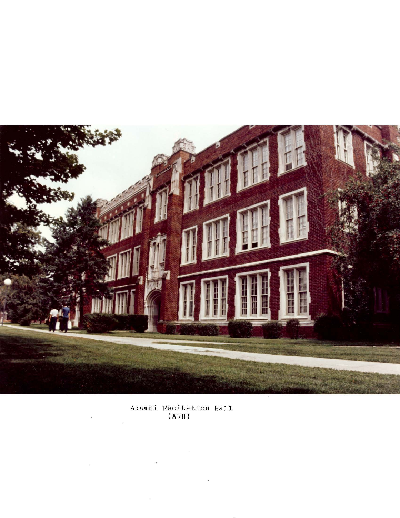

Alumni Recitation Hall (ARH)

 $\frac{1}{1000}$ 

 $\bar{y}_i$ 

 $\mathcal{R}$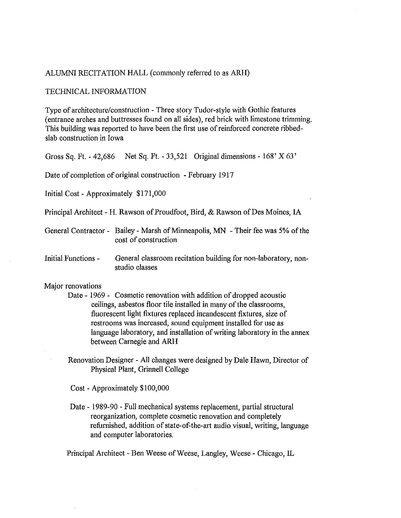## ALUMNI RECITATION HALL (commonly referred to as ARH)

#### TECHNICAL INFORMATION

Type of architecture/construction - Three story Tudor-style with Gothic features (entrance arches and buttresses found on all sides), red brick with limestone trimming. This building was reported to have been the first use of reinforced concrete ribbedslab construction in Iowa

Gross Sq. FI. - 42,686 Net Sq. FI. - 33,521 Original dimensions - 168' X 63'

Date of completion of original construction - February 1917

Initial Cost - Approximately \$171,000

Principal Architect - H. Rawson of Proudfoot, Bird, & Rawson of Des Moines, IA

General Contractor - Bailey - Marsh of Minneapolis, MN - Their fee was 5% of the cost of construction

Initial Functions - General classroom recitation building for non-laboratory, nonstudio classes

# Major renovations

- Date 1969 Cosmetic renovation with addition of dropped acoustic ceilings, asbestos floor tile installed in many of the classrooms, fluorescent light fixtures replaced incandescent fixtures, size of restrooms was increased, sound equipment installed for use as language laboratory, and installation of writing laboratory in the annex between Carnegie and ARH
	- Renovation Designer All changes were designed by Dale Hawn, Director of Physical Plant, Grinnell College

Cost - Approximately \$100,000

Date - 1989-90 - Full mechanical systems replacement, partial structural reorganization, complete cosmetic renovation and completely refurnished, addition of state-of-the-art audio visual, writing, language and computer laboratories.

Principal Architect - Ben Weese of Weese, Langley, Weese - Chicago, IL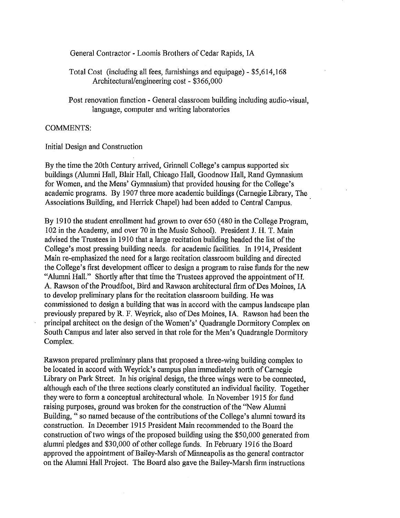General Contractor - Loomis Brothers of Cedar Rapids, IA

Total Cost (including all fees, furnishings and equipage) - \$5,614,168 Architectural/engineering cost - \$366,000

Post renovation function - General classroom building including audio-visual, language, computer and writing laboratories

# COMMENTS:

Initial Design and Construction

By the time the 20th Century arrived, Grinnell College's campus supported six buildings (Alumni Hall, Blair Hall, Chicago Hall, Goodnow Hall, Rand Gymnasium for Women, and the Mens' Gymnasium) that provided housing for the College's academic programs. By 1907 three more academic buildings (Carnegie Library, The Associations Building, and Herrick Chapel) had been added to Central Campus.

By 1910 the student enrollment had grown to over 650 (480 in the College Program, 102 in the Academy, and over 70 in the Music School). President J. H. T. Main advised the Trustees in 1910 that a large recitation building headed the list of the College's most pressing building needs. for academic facilities. In 1914, President Main re-emphasized the need for a large recitation classroom building and directed the College's first development officer to design a program to raise funds for the new "Alumni Hall." Shortly after that time the Trustees approved the appointment ofH. A. Rawson of the Proudfoot, Bird and Rawson architectural firm of Des Moines, IA to develop preliminary plans for the recitation classroom building. He was commissioned to design a building that was in accord with the campus landscape plan previously prepared by R. F. Weyrick, also of Des Moines, IA. Rawson had been the principal architect on the design of the Women's' Quadrangle Dormitory Complex on South Campus and later also served in that role for the Men's Quadrangle Dormitory Complex.

Rawson prepared preliminary plans that proposed a three-wing building complex to be located in accord with Weyrick's campus plan immediately north of Carnegie Library on Park Street. In his original design, the three wings were to be connected, although each of the three sections clearly constituted an individual facility. Together they were to form a conceptual architectural whole. In November 1915 for fund raising purposes, ground was broken for the construction of the "New Alumni Building, "so named because of the contributions of the College's alumni toward its construction. In December 1915 President Main recommended to the Board the construction of two wings of the proposed building using the \$50,000 generated from alumni pledges and \$30,000 of other college funds. In February 1916 the Board approved the appointment of Bailey-Marsh of Minneapolis as the general contractor on the Alumni Hall Project. The Board also gave the Bailey-Marsh firm instructions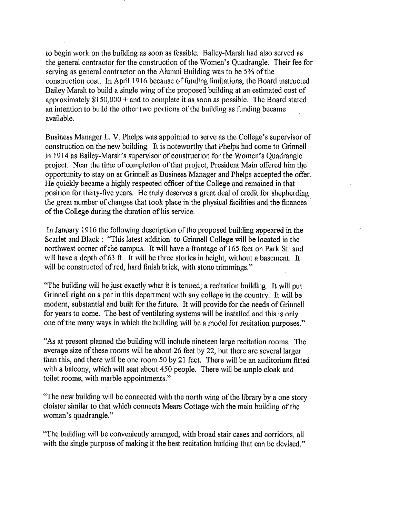to begin work on the building as soon as feasible. Bailey-Marsh had also served as the general contractor for the construction of the Women's Quadrangle. Their fee for serving as general contractor on the Alumni Building was to be 5% of the construction cost. In April 1916 because of funding limitations, the Board instructed Bailey Marsh to build a single wing of the proposed building at an estimated cost of approximately  $$150,000 +$  and to complete it as soon as possible. The Board stated an intention to build the other two portions of the building as funding became available.

Business Manager L. V. Phelps was appointed to serve as the College's supervisor of construction on the new building. It is noteworthy that Phelps had come to Grinnell in 1914 as Bailey-Marsh's supervisor of construction for the Women's Quadrangle project. Near the time of completion of that project, President Main offered him the opportunity to stay on at Grinnell as Business Manager and Phelps accepted the offer. He quickly became a highly respected officer of the College and remained in that position for thirty-five years. He truly deserves a great deal of credit for shepherding the great number of changes that took place in the physical facilities and the finances . of the College during the duration of his service.

In January 1916 the following description of the proposed building appeared in the Scarlet and Black: "This latest addition to Grinnell College will be located in the northwest corner of the campus. It will have a frontage of 165 feet on Park St. and will have a depth of 63 ft. It will be three stories in height, without a basement. It will be constructed of red, hard finish brick, with stone trimmings."

"The building will be just exactly what it is termed; a recitation building. It will put Grinnell right on a par in this department with any college in the country. It will be modern, substantial and built for the future. It will provide for the needs of Grinnell for years to come. The best of ventilating systems will be installed and this is only one of the many ways in which the building will be a model for recitation purposes."

"As at present planned the building will include nineteen large recitation rooms. The average size of these rooms will be about 26 feet by 22, but there are several larger than this, and there will be one room 50 by 21 feet. There will be an auditorium fitted with a balcony, which will seat about 450 people. There will be ample cloak and toilet rooms, with marble appointments."

"The new building will be connected with the north wing of the library by a one story cloister similar to that which connects Mears Cottage with the main building of the woman's quadrangle."

"The building will be conveniently arranged, with broad stair cases and corridors, all with the single purpose of making it the best recitation building that can be devised."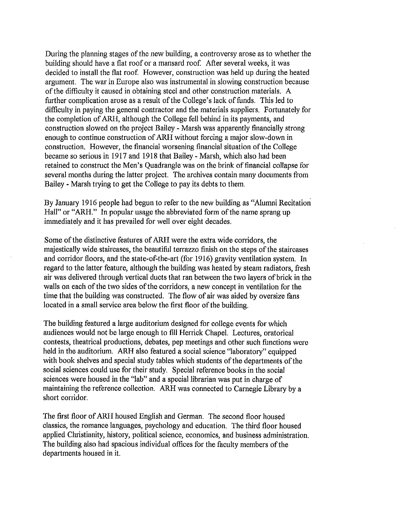During the planning stages of the new building, a controversy arose as to whether the building should have a flat roof or a mansard roof. After several weeks, it was decided to install the flat roof. However, construction was held up during the heated argument. The war in Europe also was instrumental in slowing construction because of the difficulty it caused in obtaining steel and other construction materials. A further complication arose as a result of the College's lack of funds. This led to difficulty in paying the general contractor and the materials suppliers. Fortunately for the completion of ARH, although the College fell behind in its payments, and construction slowed on the project Bailey - Marsh was apparently financially strong enough to continue construction of ARH without forcing a major slow-down in construction. However, the financial worsening financial situation of the College became so serious in 1917 and 1918 that Bailey - Marsh, which also had been retained to construct the Men's Quadrangle was on the brink of financial collapse for several months during the latter project. The archives contain many documents from Bailey - Marsh trying to get the College to pay its debts to them.

By January 1916 people had begun to refer to the new building as "Alumni Recitation Hall" or "ARH." In popular usage the abbreviated form of the name sprang up immediately and it has prevailed for well over eight decades.

Some of the distinctive features of ARH were the extra wide corridors, the majestically wide staircases, the beautiful terrazzo finish on the steps of the staircases and corridor floors, and the state-of-the-art (for 1916) gravity ventilation system. In regard to the latter feature, although the building was heated by steam radiators, fresh air was delivered through vertical ducts that ran between the two layers of brick in the walls on each of the two sides of the corridors, a new concept in ventilation for the time that the building was constructed. The flow of air was aided by oversize fans located in a small service area below the first floor of the building.

The building featured a large auditorium designed for college events for which audiences would not be large enough to fill Herrick Chapel. Lectures, oratorical contests, theatrical productions, debates, pep meetings and other such functions were held in the auditorium. ARH also featured a social science "laboratory" equipped with book shelves and special study tables which students of the departments of the social sciences could use for their study. Special reference books in the social sciences were housed in the "lab" and a special librarian was put in charge of maintaining the reference collection. ARH was connected to Carnegie Library by a short corridor.

The first floor of ARH housed English and German. The second floor housed classics, the romance languages, psychology and education. The third floor housed applied Christianity, history, political science, economics, and business administration. The building also had spacious individual offices for the faculty members of the departments housed in it.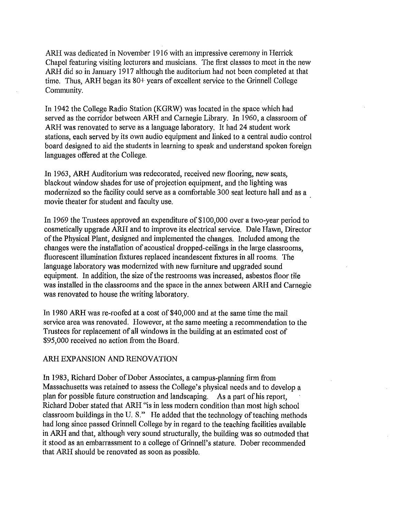ARH was dedicated in November 1916 with an impressive ceremony in Herrick Chapel featuring visiting lecturers and musicians. The first classes to meet in the new ARH did so in January 1917 although the auditorium had not been completed at that time. Thus, ARH began its 80+ years of excellent service to the Grinnell College Community.

In 1942 the College Radio Station (KGRW) was located in the space which had served as the corridor between ARH and Carnegie Library. In 1960, a classroom of ARH was renovated to serve as a language laboratory. It had 24 student work stations, each served by its own audio equipment and linked to a central audio control board designed to aid the students in learning to speak and understand spoken foreign languages offered at the College.

In 1963, ARH Auditorium was redecorated, received new flooring, new seats, blackout window shades for use of projection equipment, and the lighting was modernized so the facility could serve as a comfortable 300 seat lecture hall and as a movie theater for student and faculty use.

In 1969 the Trustees approved an expenditure of \$100,000 over a two-year period to cosmetically upgrade ARH and to improve its electrical service. Dale Hawn, Director of the Physical Plant, designed and implemented the changes. Included among the changes were the installation of acoustical dropped-ceilings in the large classrooms, fluorescent illumination fixtures replaced incandescent fixtures in all rooms. The language laboratory was modernized with new furniture and upgraded sound equipment. In addition, the size of the restrooms was increased, asbestos floor tile was installed in the classrooms and the space in the annex between ARH and Carnegie was renovated to house the writing laboratory.

In 1980 ARH was re-roofed at a cost of \$40,000 and at the same time the mail service area was renovated. However, at the same meeting a recommendation to the Trustees for replacement of all windows in the building at an estimated cost of \$95,000 received no action from the Board.

### ARH EXPANSION AND RENOVATION

In 1983, Richard Dober of Dober Associates, a campus-planning finn from Massachusetts was retained to assess the College's physical needs and to develop a plan for possible future construction and landscaping. As a part of his report, Richard Dober stated that ARH "is in less modem condition than most high school classroom buildings in the U. S." He added that the technology of teaching methods had long since passed Grinnell College by in regard to the teaching facilities available in ARH and that, although very sound structurally, the building was so outmoded that it stood as an embarrassment to a college of Grinnell's stature. Dober recommended that ARH should be renovated as soon as possible.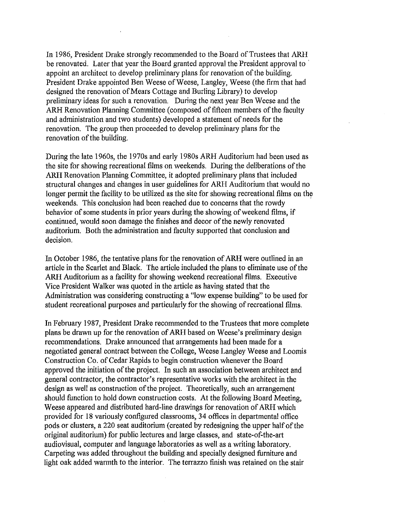In 1986, President Drake strongly recommended to the Board of Trustees that ARH be renovated. Later that year the Board granted approval the President approval to . appoint an architect to develop preliminary plans for renovation of the building. President Drake appointed Ben Weese of Weese, Langley, Weese (the firm that had designed the renovation of Mears Cottage and Burling Library) to develop preliminary ideas for such a renovation. During the next year Ben Weese and the ARH Renovation Planning Committee (composed of fifteen members of the faculty and administration and two students) developed a statement of needs for the renovation. The group then proceeded to develop preliminary plans for the renovation of the building.

During the late 1960s, the 1970s and early 1980s ARH Auditorium had been used as the site for showing recreational films on weekends. During the deliberations of the ARH Renovation Planning Committee, it adopted preliminary plans that included structural changes and changes in user guidelines for ARH Auditorium that would no longer permit the facility to be utilized as the site for showing recreational films on the weekends. This conclusion had been reached due to concerns that the rowdy behavior of some students in prior years during the showing of weekend films, if continued, would soon damage the finishes and decor of the newly renovated auditorium. Both the administration and faculty supported that conclusion and decision.

In October 1986, the tentative plans for the renovation of ARH were outlined in an article in the Scarlet and Black. The article included the plans to eliminate use of the ARH Auditorium as a facility for showing weekend recreational films. Executive Vice President Walker was quoted in the article as having stated that the Administration was considering constructing a "low expense building" to be used for student recreational purposes and particularly for the showing of recreational films.

In February 1987, President Drake recommended to the Trustees that more complete plans be drawn up for the renovation of ARH based on Weese's preliminary design recommendations. Drake announced that arrangements had been made for a negotiated general contract between the College, Weese Langley Weese and Loomis Construction Co. of Cedar Rapids to begin construction whenever the Board approved the initiation of the project. In such an association between architect and general contractor, the contractor's representative works with the architect in the design as well as construction of the project. Theoretically, such an arrangement should function to hold down construction costs. At the following Board Meeting, Weese appeared and distributed hard-line drawings for renovation of ARH which provided for 18 variously configured classrooms, 34 offices in departmental office pods or clusters, a 220 seat auditorium (created by redesigning the upper half of the original auditorium) for public lectures and large classes, and state-of-the-art audiovisual, computer and language laboratories as well as a writing laboratory. Carpeting was added throughout the building and specially designed furniture and light oak added warmth to the interior. The terrazzo finish was retained on the stair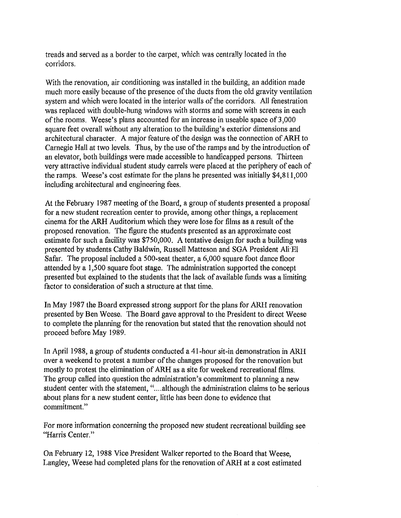treads and served as a border to the carpet, which was centrally located in the corridors.

With the renovation, air conditioning was installed in the building, an addition made much more easily because of the presence of the ducts from the old gravity ventilation system and which were located in the interior walls of the corridors. All fenestration was replaced with double-hung windows with storms and some with screens in each of the rooms. Weese's plans accounted for an increase in useable space of3,OOO square feet overall without any alteration to the building's exterior dimensions and architectural character. A major feature of the design was the connection of ARH to Carnegie Hall at two levels. Thus, by the use of the ramps and by the introduction of an elevator, both buildings were made accessible to handicapped persons. Thirteen very attractive individual student study carrels were placed at the periphery of each of the ramps. Weese's cost estimate for the plans he presented was initially \$4,811,000 including architectural and engineering fees.

At the February 1987 meeting of the Board, a group of students presented a proposai for a new student recreation center to provide, among other things, a replacement cinema for the ARH Auditorium which they were lose for films as a result of the proposed renovation. The figure the students presented as an approximate cost estimate for such a facility was \$750,000. A tentative design for such a building was presented by students Cathy Baldwin, Russell Matteson and SGA President Ali'EI Safar. The proposal included a SOO-seat theater, a 6,000 square foot dance floor attended by a 1,500 square foot stage. The administration supported the concept presented but explained to the students that the lack of available funds was a limiting factor to consideration of such a structure at that time.

In May 1987 the Board expressed strong support for the plans for ARH renovation presented by Ben Weese. The Board gave approval to the President to direct Weese to complete the planning for the renovation but stated that the renovation should not proceed before May 1989.

In April 1988, a group of students conducted a 41-hour sit-in demonstration in ARH over a weekend to protest a number of the changes proposed for the renovation but mostly to protest the elimination of ARH as a site for weekend recreational films. The group called into question the administration's commitment to planning a new student center with the statement, "....although the administration claims to be serious about plans for a new student center, little has been done to evidence that commitment."

For more information concerning the proposed new student recreational building see "Harris Center."

On February 12, 1988 Vice President Walker reported to the Board that Weese, Langley, Weese had completed plans for the renovation of ARH at a cost estimated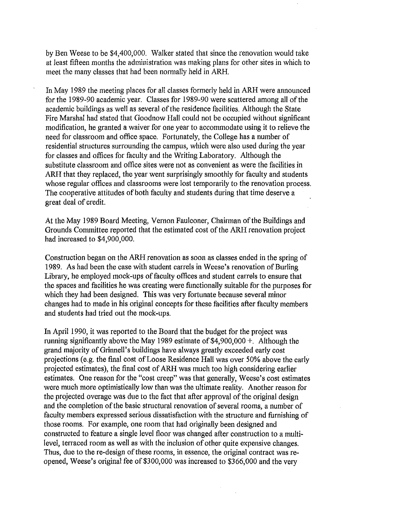by Ben Weese to be \$4,400,000. Walker stated that since the renovation would take at least fifteen months the administration was making plans for other sites in which to meet the many classes that had been normally held in ARH.

In May 1989 the meeting places for all classes formerly held in ARH were announced for the 1989-90 academic year. Classes for 1989-90 were scattered among all of the academic buildings as well as several of the residence facilities. Although the State Fire Marshal had stated that Goodnow Hall could not be occupied without significant modification, he granted a waiver for one year to accommodate using it to relieve the need for classroom and office space. Fortunately, the College has a number of residential structures surrounding the campus, which were also used during the year for classes and offices for faculty and the Writing Laboratory. Although the substitute classroom and office sites were not as convenient as were the facilities in ARH that they replaced, the year went surprisingly smoothly for faculty and students whose regular offices and classrooms were lost temporarily to the renovation process. The cooperative attitudes of both faculty and students during that time deserve a great deal of credit.

At the May 1989 Board Meeting, Vernon Faulconer, Chairman of the Buildings and Grounds Committee reported that the estimated cost of the ARH renovation project had increased to \$4,900,000.

Construction began on the ARH renovation as soon as classes ended in the spring of 1989. As had been the case with student carrels in Weese's renovation of Burling Library, he employed mock-ups of faculty offices and student carrels to ensure that the spaces and facilities he was creating were functionally suitable for the purposes for which they had been designed. This was very fortunate because several minor changes had to made in his original concepts for these facilities after faculty members and students had tried out the mock-ups.

In April 1990, it was reported to the Board that the budget for the project was running significantly above the May 1989 estimate of \$4,900,000 +. Although the grand majority of Grinnell's buildings have always greatly exceeded early cost projections (e.g. the final cost of Loose Residence Hall was over 50% above the early projected estimates), the final cost of ARH was much too high considering earlier estimates. One reason for the "cost creep" was that generally, Weese's cost estimates were much more optimistically low than was the ultimate reality. Another reason for the projected overage was due to the fact that after approval of the original design and the completion of the basic structural renovation of several rooms, a number of faculty members expressed serious dissatisfaction with the structure and furnishing of those rooms. For example, one room that had originally been designed and constructed to feature a single level floor was changed after construction to a multilevel, terraced room as well as with the inclusion of other quite expensive changes. Thus, due to the re-design of these rooms, in essence, the original contract was reopened, Weese's original fee of \$300,000 was increased to \$366,000 and the very